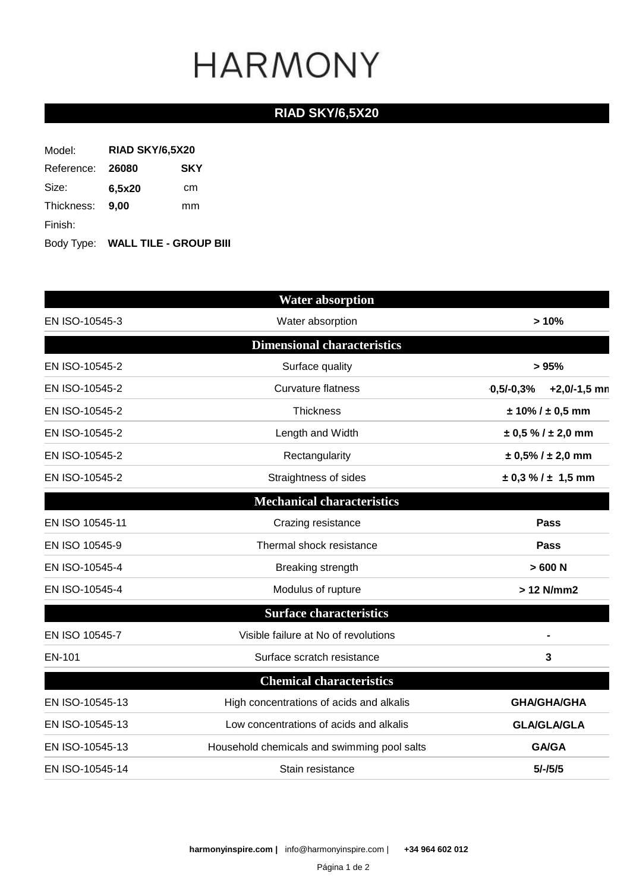### **RIAD SKY/6,5X20**

| Model:     | <b>RIAD SKY/6,5X20</b> |                                   |  |
|------------|------------------------|-----------------------------------|--|
| Reference: | 26080                  | <b>SKY</b>                        |  |
| Size:      | 6,5x20                 | cm                                |  |
| Thickness: | 9.00                   | mm                                |  |
| Finish:    |                        |                                   |  |
|            |                        | Body Type: WALL TILE - GROUP BIII |  |

|                                  | <b>Water absorption</b>                                     |                            |  |
|----------------------------------|-------------------------------------------------------------|----------------------------|--|
| EN ISO-10545-3                   | Water absorption                                            | >10%                       |  |
|                                  | <b>Dimensional characteristics</b>                          |                            |  |
| EN ISO-10545-2                   | Surface quality                                             | >95%                       |  |
| EN ISO-10545-2                   | <b>Curvature flatness</b><br>$0,5/-0,3%$                    |                            |  |
| EN ISO-10545-2                   | Thickness                                                   | $± 10\% / ± 0.5$ mm        |  |
| EN ISO-10545-2                   | Length and Width                                            | $\pm$ 0,5 % / $\pm$ 2,0 mm |  |
| EN ISO-10545-2<br>Rectangularity |                                                             | $± 0,5\%$ / $± 2,0$ mm     |  |
| EN ISO-10545-2                   | Straightness of sides                                       | $\pm$ 0,3 % / $\pm$ 1,5 mm |  |
|                                  | <b>Mechanical characteristics</b>                           |                            |  |
| EN ISO 10545-11                  | Crazing resistance                                          | <b>Pass</b>                |  |
| EN ISO 10545-9                   | Thermal shock resistance                                    | <b>Pass</b>                |  |
| EN ISO-10545-4                   | Breaking strength                                           | >600 N                     |  |
| EN ISO-10545-4                   | Modulus of rupture                                          | > 12 N/mm2                 |  |
|                                  | <b>Surface characteristics</b>                              |                            |  |
| EN ISO 10545-7                   | Visible failure at No of revolutions                        |                            |  |
| EN-101                           | Surface scratch resistance                                  | 3                          |  |
|                                  | <b>Chemical characteristics</b>                             |                            |  |
| EN ISO-10545-13                  | High concentrations of acids and alkalis                    | <b>GHA/GHA/GHA</b>         |  |
| EN ISO-10545-13                  | Low concentrations of acids and alkalis                     | <b>GLA/GLA/GLA</b>         |  |
| EN ISO-10545-13                  | <b>GA/GA</b><br>Household chemicals and swimming pool salts |                            |  |
| EN ISO-10545-14                  | Stain resistance                                            | $5/-/5/5$                  |  |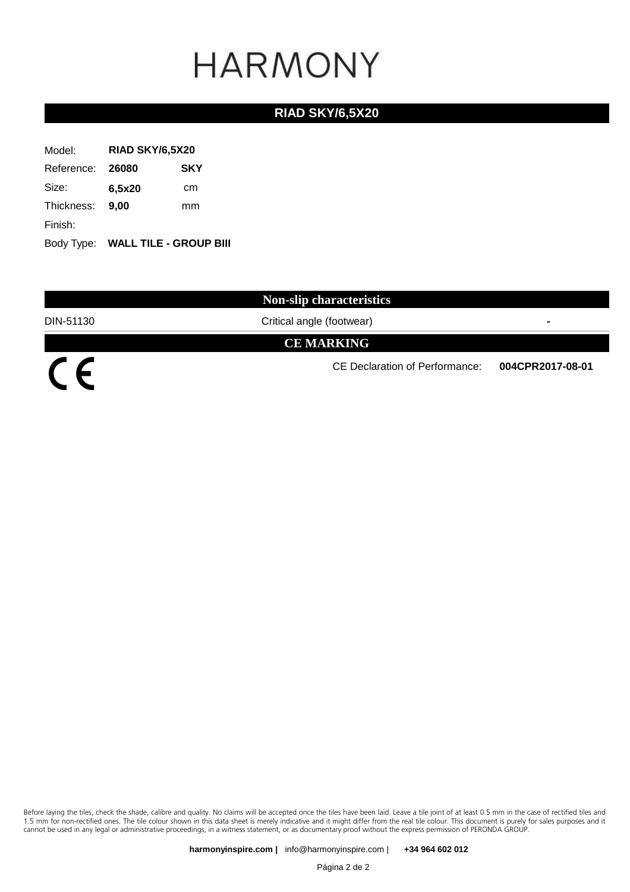### **RIAD SKY/6,5X20**

| Model:           | RIAD SKY/6,5X20 |                                   |
|------------------|-----------------|-----------------------------------|
| Reference: 26080 | <b>SKY</b>      |                                   |
| Size:            | 6,5x20          | cm                                |
| Thickness:       | 9.00            | mm                                |
| Finish:          |                 |                                   |
|                  |                 | Body Type: WALL TILE - GROUP BIII |

**Non-slip characteristics**

DIN-51130 Critical angle (footwear) **-**

**CE MARKING**

 $\overline{C}$ 

CE Declaration of Performance: **004CPR2017-08-01**

Before laying the tiles, check the shade, calibre and quality. No claims will be accepted once the tiles have been laid. Leave a tile joint of at least 0.5 mm in the case of rectified tiles and 1.5 mm for non-rectified ones. The tile colour shown in this data sheet is merely indicative and it might differ from the real tile colour. This document is purely for sales purposes and it cannot be used in any legal or administrative proceedings, in a witness statement, or as documentary proof without the express permission of PERONDA GROUP.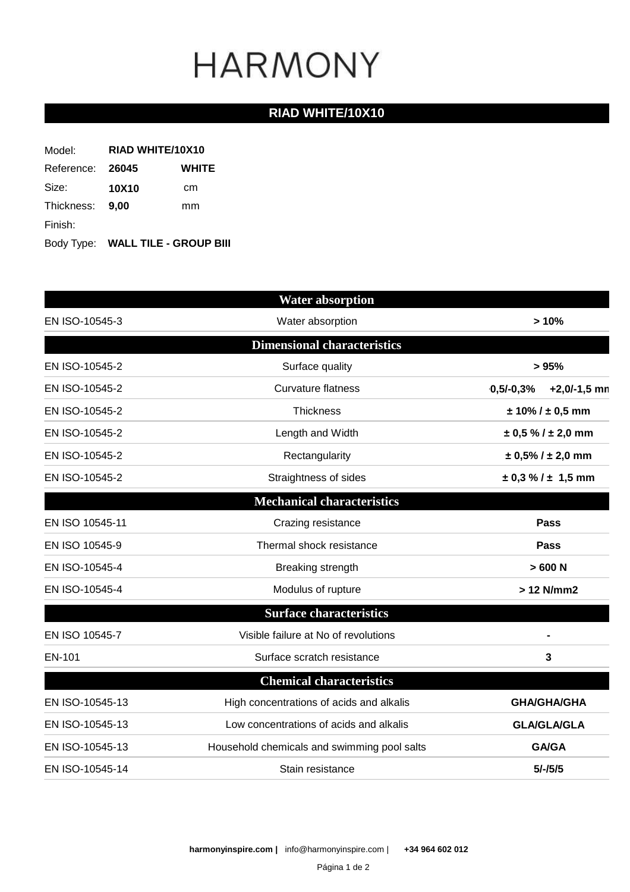### **RIAD WHITE/10X10**

| Model:           | RIAD WHITE/10X10 |                                   |  |
|------------------|------------------|-----------------------------------|--|
| Reference: 26045 | <b>WHITE</b>     |                                   |  |
| Size:            | 10X10            | cm                                |  |
| Thickness: 9,00  |                  | mm                                |  |
| Finish:          |                  |                                   |  |
|                  |                  | Body Type: WALL TILE - GROUP BIII |  |

|                 | <b>Water absorption</b>                                     |                               |
|-----------------|-------------------------------------------------------------|-------------------------------|
| EN ISO-10545-3  | Water absorption                                            | >10%                          |
|                 | <b>Dimensional characteristics</b>                          |                               |
| EN ISO-10545-2  | Surface quality                                             | >95%                          |
| EN ISO-10545-2  | <b>Curvature flatness</b>                                   | $+2,0/-1,5$ mn<br>$0,5/-0,3%$ |
| EN ISO-10545-2  | Thickness                                                   | $± 10\% / ± 0.5$ mm           |
| EN ISO-10545-2  | Length and Width                                            | $\pm$ 0,5 % / $\pm$ 2,0 mm    |
| EN ISO-10545-2  | Rectangularity                                              | $± 0,5\%$ / $± 2,0$ mm        |
| EN ISO-10545-2  | Straightness of sides                                       | $\pm$ 0,3 % / $\pm$ 1,5 mm    |
|                 | <b>Mechanical characteristics</b>                           |                               |
| EN ISO 10545-11 | Crazing resistance                                          | <b>Pass</b>                   |
| EN ISO 10545-9  | Thermal shock resistance                                    | <b>Pass</b>                   |
| EN ISO-10545-4  | Breaking strength                                           | >600 N                        |
| EN ISO-10545-4  | Modulus of rupture                                          | > 12 N/mm2                    |
|                 | <b>Surface characteristics</b>                              |                               |
| EN ISO 10545-7  | Visible failure at No of revolutions                        |                               |
| EN-101          | Surface scratch resistance                                  | 3                             |
|                 | <b>Chemical characteristics</b>                             |                               |
| EN ISO-10545-13 | High concentrations of acids and alkalis                    | <b>GHA/GHA/GHA</b>            |
| EN ISO-10545-13 | Low concentrations of acids and alkalis                     | <b>GLA/GLA/GLA</b>            |
| EN ISO-10545-13 | <b>GA/GA</b><br>Household chemicals and swimming pool salts |                               |
| EN ISO-10545-14 | Stain resistance                                            | $5/-/5/5$                     |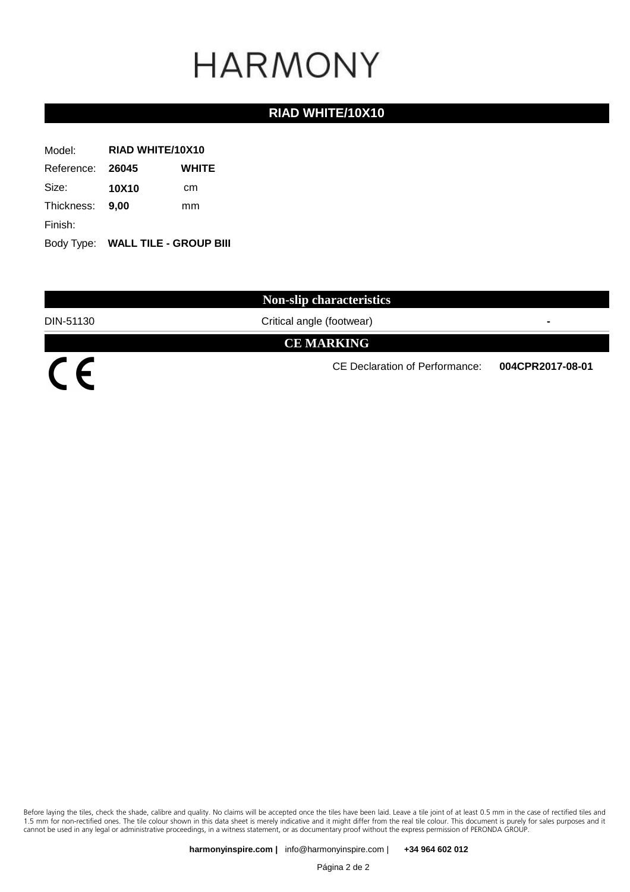#### **RIAD WHITE/10X10**

| Model:           | <b>RIAD WHITE/10X10</b> |                                   |  |
|------------------|-------------------------|-----------------------------------|--|
| Reference: 26045 | <b>WHITE</b>            |                                   |  |
| Size:            | 10X10                   | cm                                |  |
| Thickness: 9,00  |                         | mm                                |  |
| Finish:          |                         |                                   |  |
|                  |                         | Body Type: WALL TILE - GROUP BIII |  |

**Non-slip characteristics**

DIN-51130 Critical angle (footwear) **-**

**CE MARKING**

 $\overline{C}$ 

CE Declaration of Performance: **004CPR2017-08-01**

Before laying the tiles, check the shade, calibre and quality. No claims will be accepted once the tiles have been laid. Leave a tile joint of at least 0.5 mm in the case of rectified tiles and 1.5 mm for non-rectified ones. The tile colour shown in this data sheet is merely indicative and it might differ from the real tile colour. This document is purely for sales purposes and it cannot be used in any legal or administrative proceedings, in a witness statement, or as documentary proof without the express permission of PERONDA GROUP.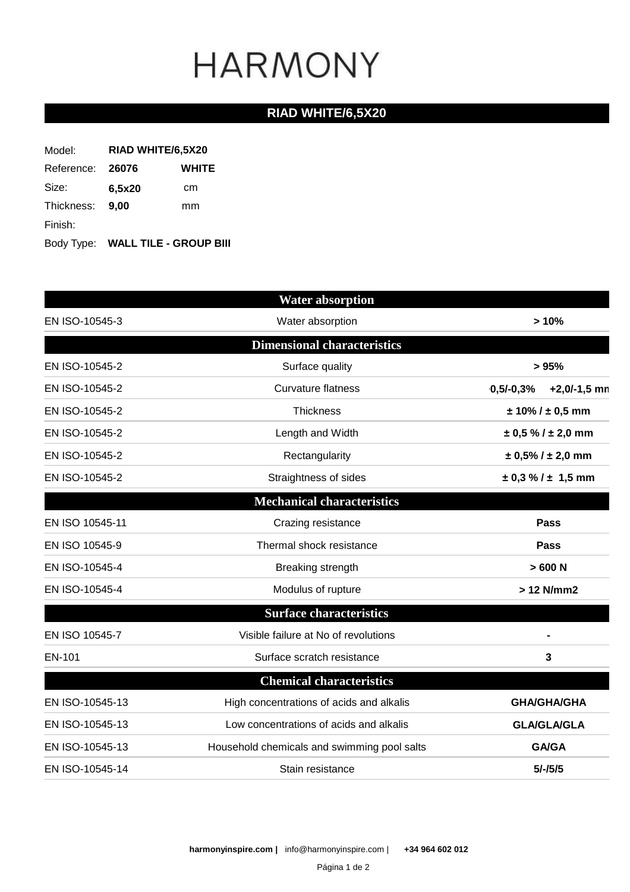### **RIAD WHITE/6,5X20**

| Model:     | RIAD WHITE/6,5X20     |                                   |  |
|------------|-----------------------|-----------------------------------|--|
| Reference: | <b>WHITE</b><br>26076 |                                   |  |
| Size:      | 6,5x20                | cm                                |  |
| Thickness: | 9.00                  | mm                                |  |
| Finish:    |                       |                                   |  |
|            |                       | Body Type: WALL TILE - GROUP BIII |  |

|                 | <b>Water absorption</b>                                     |                               |
|-----------------|-------------------------------------------------------------|-------------------------------|
| EN ISO-10545-3  | Water absorption                                            | >10%                          |
|                 | <b>Dimensional characteristics</b>                          |                               |
| EN ISO-10545-2  | Surface quality                                             | >95%                          |
| EN ISO-10545-2  | <b>Curvature flatness</b>                                   | $+2,0/-1,5$ mn<br>$0,5/-0,3%$ |
| EN ISO-10545-2  | Thickness                                                   | $± 10\% / ± 0.5$ mm           |
| EN ISO-10545-2  | Length and Width                                            | $\pm$ 0,5 % / $\pm$ 2,0 mm    |
| EN ISO-10545-2  | Rectangularity                                              | $± 0,5\%$ / $± 2,0$ mm        |
| EN ISO-10545-2  | Straightness of sides                                       | $\pm$ 0,3 % / $\pm$ 1,5 mm    |
|                 | <b>Mechanical characteristics</b>                           |                               |
| EN ISO 10545-11 | Crazing resistance                                          | <b>Pass</b>                   |
| EN ISO 10545-9  | Thermal shock resistance                                    | <b>Pass</b>                   |
| EN ISO-10545-4  | Breaking strength                                           | >600 N                        |
| EN ISO-10545-4  | Modulus of rupture                                          | > 12 N/mm2                    |
|                 | <b>Surface characteristics</b>                              |                               |
| EN ISO 10545-7  | Visible failure at No of revolutions                        |                               |
| EN-101          | Surface scratch resistance                                  | 3                             |
|                 | <b>Chemical characteristics</b>                             |                               |
| EN ISO-10545-13 | High concentrations of acids and alkalis                    | <b>GHA/GHA/GHA</b>            |
| EN ISO-10545-13 | Low concentrations of acids and alkalis                     | <b>GLA/GLA/GLA</b>            |
| EN ISO-10545-13 | <b>GA/GA</b><br>Household chemicals and swimming pool salts |                               |
| EN ISO-10545-14 | Stain resistance                                            | $5/-/5/5$                     |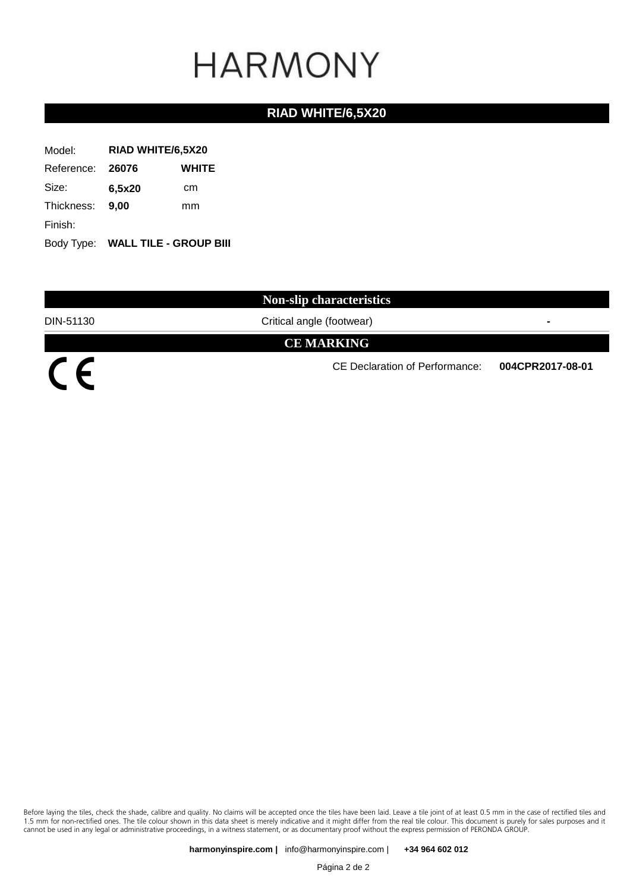### **RIAD WHITE/6,5X20**

| Model:           | RIAD WHITE/6,5X20 |                                   |  |
|------------------|-------------------|-----------------------------------|--|
| Reference: 26076 | <b>WHITE</b>      |                                   |  |
| Size:            | 6,5x20            | cm                                |  |
| Thickness:       | 9.00              | mm                                |  |
| Finish:          |                   |                                   |  |
|                  |                   | Body Type: WALL TILE - GROUP BIII |  |

**Non-slip characteristics**

DIN-51130 Critical angle (footwear) **-**

**CE MARKING**

 $\overline{C}$ 

CE Declaration of Performance: **004CPR2017-08-01**

Before laying the tiles, check the shade, calibre and quality. No claims will be accepted once the tiles have been laid. Leave a tile joint of at least 0.5 mm in the case of rectified tiles and 1.5 mm for non-rectified ones. The tile colour shown in this data sheet is merely indicative and it might differ from the real tile colour. This document is purely for sales purposes and it cannot be used in any legal or administrative proceedings, in a witness statement, or as documentary proof without the express permission of PERONDA GROUP.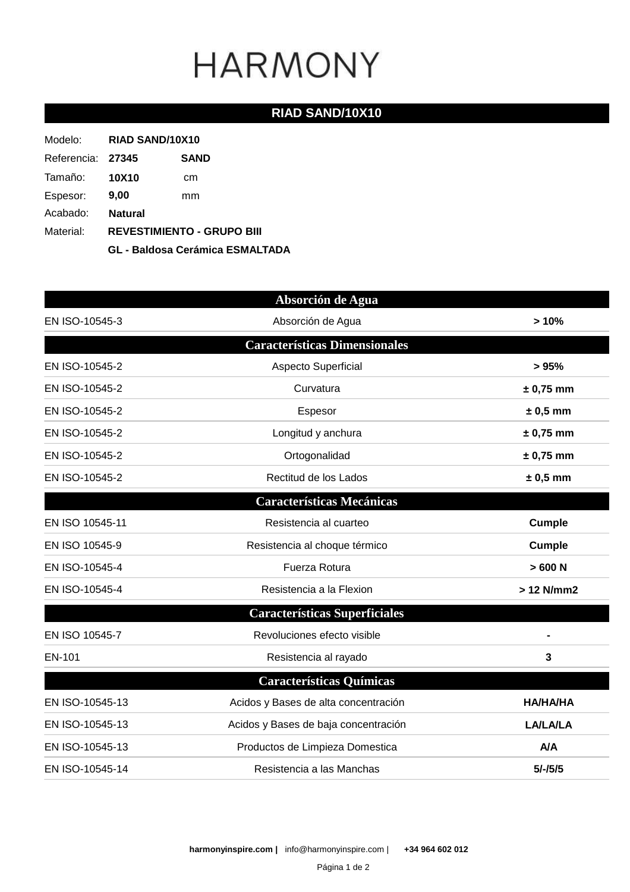### **RIAD SAND/10X10**

| Modelo:           | RIAD SAND/10X10                        |             |
|-------------------|----------------------------------------|-------------|
| Referencia: 27345 |                                        | <b>SAND</b> |
| Tamaño:           | <b>10X10</b>                           | cm          |
| Espesor:          | 9,00                                   | mm          |
| Acabado:          | <b>Natural</b>                         |             |
| Material:         | <b>REVESTIMIENTO - GRUPO BIII</b>      |             |
|                   | <b>GL - Baldosa Cerámica ESMALTADA</b> |             |

|                 | Absorción de Agua                    |                 |
|-----------------|--------------------------------------|-----------------|
| EN ISO-10545-3  | Absorción de Agua                    | >10%            |
|                 | <b>Características Dimensionales</b> |                 |
| EN ISO-10545-2  | Aspecto Superficial                  | >95%            |
| EN ISO-10545-2  | Curvatura                            | $± 0,75$ mm     |
| EN ISO-10545-2  | Espesor                              | $± 0,5$ mm      |
| EN ISO-10545-2  | Longitud y anchura                   | $± 0,75$ mm     |
| EN ISO-10545-2  | Ortogonalidad                        | $± 0,75$ mm     |
| EN ISO-10545-2  | Rectitud de los Lados                | $± 0,5$ mm      |
|                 | <b>Características Mecánicas</b>     |                 |
| EN ISO 10545-11 | Resistencia al cuarteo               | Cumple          |
| EN ISO 10545-9  | Resistencia al choque térmico        | <b>Cumple</b>   |
| EN ISO-10545-4  | Fuerza Rotura                        | >600 N          |
| EN ISO-10545-4  | Resistencia a la Flexion             | > 12 N/mm2      |
|                 | <b>Características Superficiales</b> |                 |
| EN ISO 10545-7  | Revoluciones efecto visible          |                 |
| EN-101          | Resistencia al rayado                | 3               |
|                 | <b>Características Químicas</b>      |                 |
| EN ISO-10545-13 | Acidos y Bases de alta concentración | <b>HA/HA/HA</b> |
| EN ISO-10545-13 | Acidos y Bases de baja concentración | <b>LA/LA/LA</b> |
| EN ISO-10545-13 | Productos de Limpieza Domestica      | <b>A/A</b>      |
| EN ISO-10545-14 | Resistencia a las Manchas            | $5/-/5/5$       |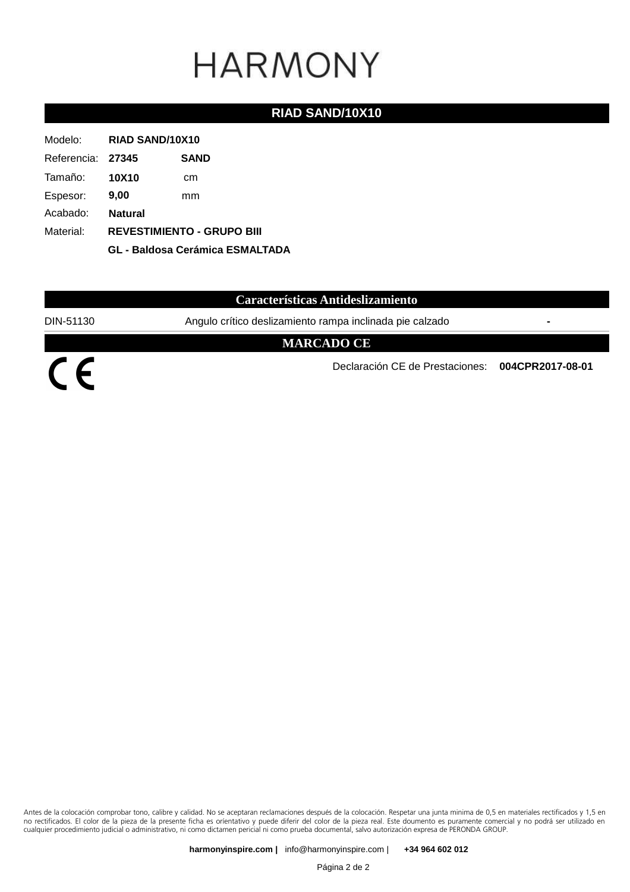#### **RIAD SAND/10X10**

| Modelo:           | <b>RIAD SAND/10X10</b>                                                      |             |
|-------------------|-----------------------------------------------------------------------------|-------------|
| Referencia: 27345 |                                                                             | <b>SAND</b> |
| Tamaño:           | <b>10X10</b>                                                                | cm          |
| Espesor:          | 9,00                                                                        | mm          |
| Acabado:          | <b>Natural</b>                                                              |             |
| Material:         | <b>REVESTIMIENTO - GRUPO BIII</b><br><b>GL - Baldosa Cerámica ESMALTADA</b> |             |
|                   |                                                                             |             |

### **Características Antideslizamiento**

DIN-51130 Angulo crítico deslizamiento rampa inclinada pie calzado **-**

#### **MARCADO CE**

 $\overline{C}$ 

Declaración CE de Prestaciones: **004CPR2017-08-01**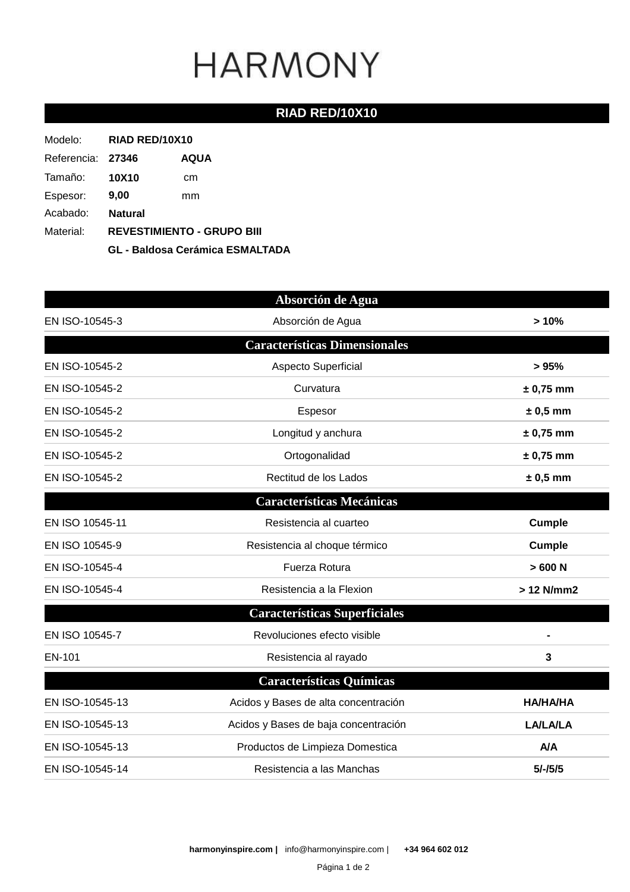### **RIAD RED/10X10**

| Modelo:           | RIAD RED/10X10                         |             |
|-------------------|----------------------------------------|-------------|
| Referencia: 27346 |                                        | <b>AQUA</b> |
| Tamaño:           | <b>10X10</b>                           | cm          |
| Espesor:          | 9,00                                   | mm          |
| Acabado:          | <b>Natural</b>                         |             |
| Material:         | <b>REVESTIMIENTO - GRUPO BIII</b>      |             |
|                   | <b>GL - Baldosa Cerámica ESMALTADA</b> |             |

|                 | Absorción de Agua                    |                 |
|-----------------|--------------------------------------|-----------------|
| EN ISO-10545-3  | Absorción de Agua                    | >10%            |
|                 | <b>Características Dimensionales</b> |                 |
| EN ISO-10545-2  | Aspecto Superficial                  | > 95%           |
| EN ISO-10545-2  | Curvatura                            | $± 0,75$ mm     |
| EN ISO-10545-2  | Espesor                              | $± 0,5$ mm      |
| EN ISO-10545-2  | Longitud y anchura                   | $± 0,75$ mm     |
| EN ISO-10545-2  | Ortogonalidad                        | $± 0,75$ mm     |
| EN ISO-10545-2  | Rectitud de los Lados                | $± 0,5$ mm      |
|                 | <b>Características Mecánicas</b>     |                 |
| EN ISO 10545-11 | Resistencia al cuarteo               | <b>Cumple</b>   |
| EN ISO 10545-9  | Resistencia al choque térmico        | <b>Cumple</b>   |
| EN ISO-10545-4  | Fuerza Rotura                        | >600 N          |
| EN ISO-10545-4  | Resistencia a la Flexion             | > 12 N/mm2      |
|                 | <b>Características Superficiales</b> |                 |
| EN ISO 10545-7  | Revoluciones efecto visible          |                 |
| EN-101          | Resistencia al rayado                | 3               |
|                 | <b>Características Químicas</b>      |                 |
| EN ISO-10545-13 | Acidos y Bases de alta concentración | <b>HA/HA/HA</b> |
| EN ISO-10545-13 | Acidos y Bases de baja concentración | <b>LA/LA/LA</b> |
| EN ISO-10545-13 | Productos de Limpieza Domestica      | <b>A/A</b>      |
| EN ISO-10545-14 | Resistencia a las Manchas            | $5/-/5/5$       |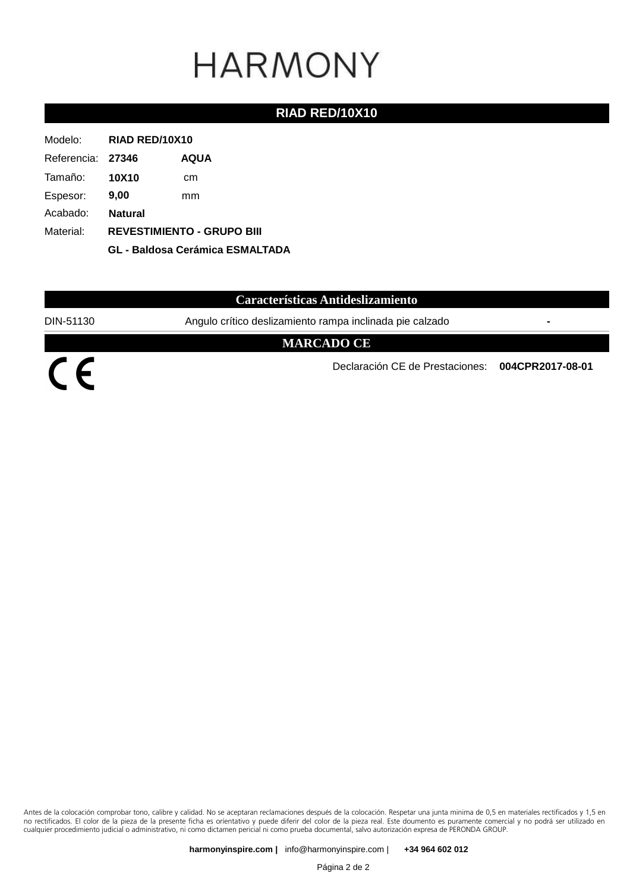#### **RIAD RED/10X10**

| Modelo:           | RIAD RED/10X10                                                              |             |
|-------------------|-----------------------------------------------------------------------------|-------------|
| Referencia: 27346 |                                                                             | <b>AQUA</b> |
| Tamaño:           | <b>10X10</b>                                                                | cm          |
| Espesor:          | 9,00                                                                        | mm          |
| Acabado:          | <b>Natural</b>                                                              |             |
| Material:         | <b>REVESTIMIENTO - GRUPO BIII</b><br><b>GL - Baldosa Cerámica ESMALTADA</b> |             |
|                   |                                                                             |             |

#### **Características Antideslizamiento**

DIN-51130 Angulo crítico deslizamiento rampa inclinada pie calzado **-**

#### **MARCADO CE**

 $\overline{C}$ 

Declaración CE de Prestaciones: **004CPR2017-08-01**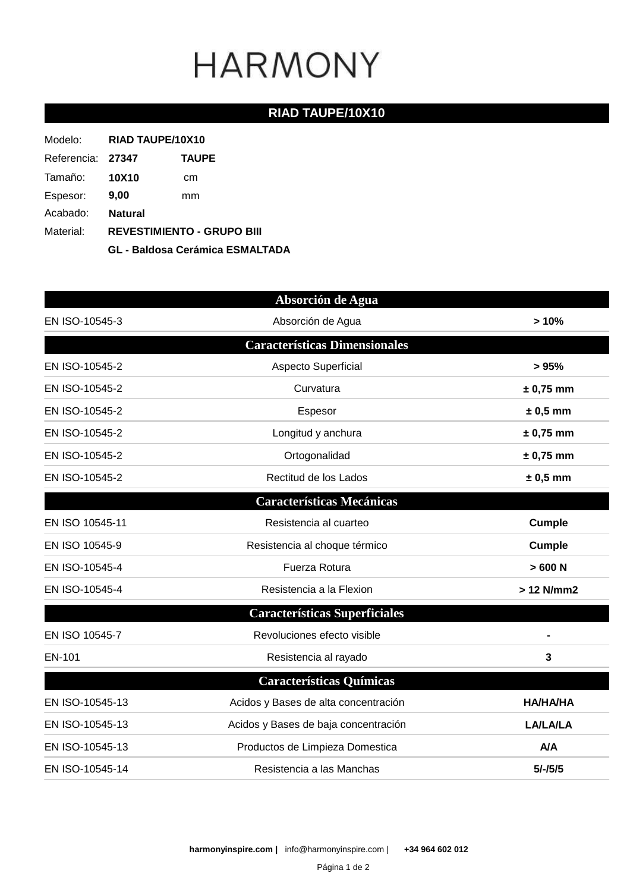### **RIAD TAUPE/10X10**

| Modelo:           | RIAD TAUPE/10X10                                                            |              |
|-------------------|-----------------------------------------------------------------------------|--------------|
| Referencia: 27347 |                                                                             | <b>TAUPE</b> |
| Tamaño:           | <b>10X10</b>                                                                | cm           |
| Espesor:          | 9,00                                                                        | mm           |
| Acabado:          | <b>Natural</b>                                                              |              |
| Material:         | <b>REVESTIMIENTO - GRUPO BIII</b><br><b>GL - Baldosa Cerámica ESMALTADA</b> |              |
|                   |                                                                             |              |

|                 | Absorción de Agua                    |                 |
|-----------------|--------------------------------------|-----------------|
| EN ISO-10545-3  | Absorción de Agua                    | >10%            |
|                 | <b>Características Dimensionales</b> |                 |
| EN ISO-10545-2  | Aspecto Superficial                  | > 95%           |
| EN ISO-10545-2  | Curvatura                            | $± 0,75$ mm     |
| EN ISO-10545-2  | Espesor                              | $± 0,5$ mm      |
| EN ISO-10545-2  | Longitud y anchura                   | $± 0,75$ mm     |
| EN ISO-10545-2  | Ortogonalidad                        | $± 0,75$ mm     |
| EN ISO-10545-2  | Rectitud de los Lados                | $± 0,5$ mm      |
|                 | <b>Características Mecánicas</b>     |                 |
| EN ISO 10545-11 | Resistencia al cuarteo               | Cumple          |
| EN ISO 10545-9  | Resistencia al choque térmico        | <b>Cumple</b>   |
| EN ISO-10545-4  | Fuerza Rotura                        | >600 N          |
| EN ISO-10545-4  | Resistencia a la Flexion             | > 12 N/mm2      |
|                 | <b>Características Superficiales</b> |                 |
| EN ISO 10545-7  | Revoluciones efecto visible          |                 |
| EN-101          | Resistencia al rayado                | 3               |
|                 | <b>Características Químicas</b>      |                 |
| EN ISO-10545-13 | Acidos y Bases de alta concentración | <b>HA/HA/HA</b> |
| EN ISO-10545-13 | Acidos y Bases de baja concentración | <b>LA/LA/LA</b> |
| EN ISO-10545-13 | Productos de Limpieza Domestica      | A/A             |
| EN ISO-10545-14 | Resistencia a las Manchas            | $5/-/5/5$       |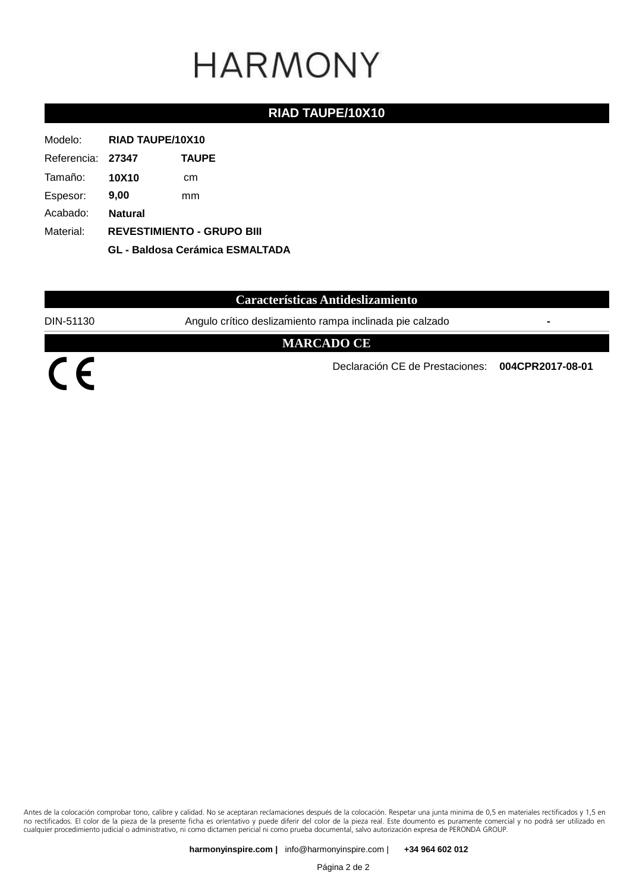#### **RIAD TAUPE/10X10**

| Modelo:           | RIAD TAUPE/10X10                                                            |              |
|-------------------|-----------------------------------------------------------------------------|--------------|
| Referencia: 27347 |                                                                             | <b>TAUPE</b> |
| Tamaño:           | <b>10X10</b>                                                                | cm           |
| Espesor:          | 9,00                                                                        | mm           |
| Acabado:          | <b>Natural</b>                                                              |              |
| Material:         | <b>REVESTIMIENTO - GRUPO BIII</b><br><b>GL - Baldosa Cerámica ESMALTADA</b> |              |
|                   |                                                                             |              |

#### **Características Antideslizamiento**

DIN-51130 Angulo crítico deslizamiento rampa inclinada pie calzado **-**

#### **MARCADO CE**

 $\overline{C}$ 

Declaración CE de Prestaciones: **004CPR2017-08-01**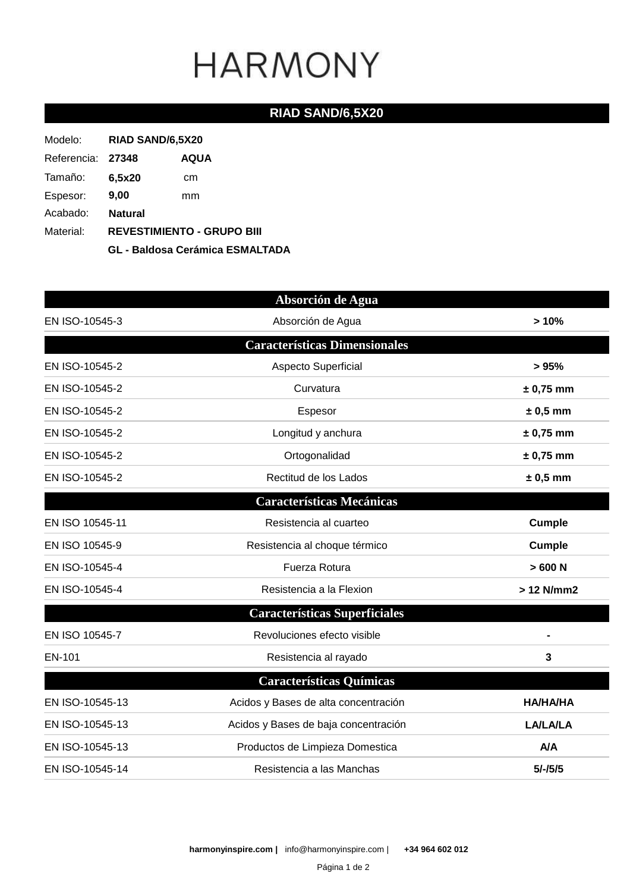### **RIAD SAND/6,5X20**

| Modelo:           | RIAD SAND/6,5X20                       |      |
|-------------------|----------------------------------------|------|
| Referencia: 27348 |                                        | AQUA |
| Tamaño:           | 6,5x20                                 | cm   |
| Espesor:          | 9,00                                   | mm   |
| Acabado:          | <b>Natural</b>                         |      |
| Material:         | <b>REVESTIMIENTO - GRUPO BIII</b>      |      |
|                   | <b>GL - Baldosa Cerámica ESMALTADA</b> |      |

|                 | Absorción de Agua                    |                 |
|-----------------|--------------------------------------|-----------------|
| EN ISO-10545-3  | Absorción de Agua                    | >10%            |
|                 | <b>Características Dimensionales</b> |                 |
| EN ISO-10545-2  | Aspecto Superficial                  | > 95%           |
| EN ISO-10545-2  | Curvatura                            | $± 0,75$ mm     |
| EN ISO-10545-2  | Espesor                              | $± 0,5$ mm      |
| EN ISO-10545-2  | Longitud y anchura                   | $± 0,75$ mm     |
| EN ISO-10545-2  | Ortogonalidad                        | $± 0,75$ mm     |
| EN ISO-10545-2  | Rectitud de los Lados                | $± 0,5$ mm      |
|                 | <b>Características Mecánicas</b>     |                 |
| EN ISO 10545-11 | Resistencia al cuarteo               | <b>Cumple</b>   |
| EN ISO 10545-9  | Resistencia al choque térmico        | <b>Cumple</b>   |
| EN ISO-10545-4  | Fuerza Rotura                        | >600 N          |
| EN ISO-10545-4  | Resistencia a la Flexion             | > 12 N/mm2      |
|                 | <b>Características Superficiales</b> |                 |
| EN ISO 10545-7  | Revoluciones efecto visible          |                 |
| EN-101          | Resistencia al rayado                | 3               |
|                 | <b>Características Químicas</b>      |                 |
| EN ISO-10545-13 | Acidos y Bases de alta concentración | <b>HA/HA/HA</b> |
| EN ISO-10545-13 | Acidos y Bases de baja concentración | <b>LA/LA/LA</b> |
| EN ISO-10545-13 | Productos de Limpieza Domestica      | <b>A/A</b>      |
| EN ISO-10545-14 | Resistencia a las Manchas            | $5/-/5/5$       |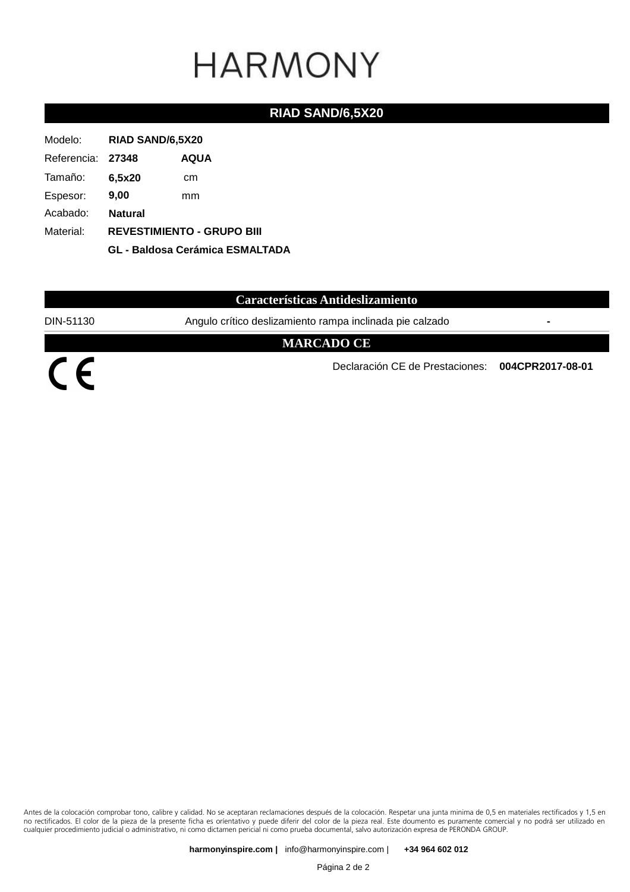#### **RIAD SAND/6,5X20**

| Modelo:           | RIAD SAND/6,5X20                                                            |             |
|-------------------|-----------------------------------------------------------------------------|-------------|
| Referencia: 27348 |                                                                             | <b>AQUA</b> |
| Tamaño:           | 6,5x20                                                                      | cm          |
| Espesor:          | 9,00                                                                        | mm          |
| Acabado:          | <b>Natural</b>                                                              |             |
| Material:         | <b>REVESTIMIENTO - GRUPO BIII</b><br><b>GL - Baldosa Cerámica ESMALTADA</b> |             |
|                   |                                                                             |             |

## **Características Antideslizamiento**

DIN-51130 Angulo crítico deslizamiento rampa inclinada pie calzado **-**

#### **MARCADO CE**

 $\overline{C}$ 

Declaración CE de Prestaciones: **004CPR2017-08-01**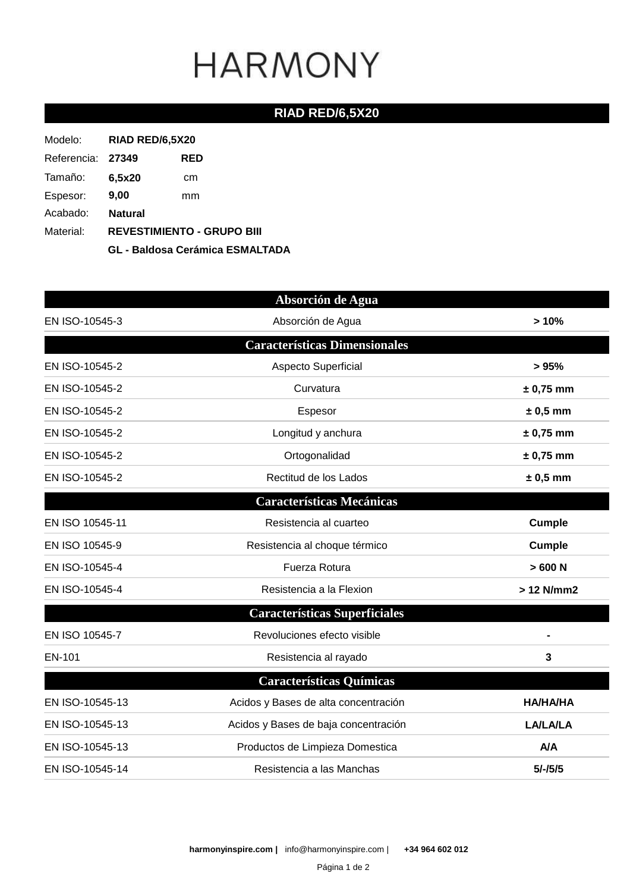## **RIAD RED/6,5X20**

| Modelo:           | RIAD RED/6,5X20                        |     |
|-------------------|----------------------------------------|-----|
| Referencia: 27349 |                                        | RED |
| Tamaño:           | 6.5x20                                 | cm  |
| Espesor:          | 9,00                                   | mm  |
| Acabado:          | <b>Natural</b>                         |     |
| Material:         | <b>REVESTIMIENTO - GRUPO BIII</b>      |     |
|                   | <b>GL - Baldosa Cerámica ESMALTADA</b> |     |

|                 | Absorción de Agua                    |                 |
|-----------------|--------------------------------------|-----------------|
| EN ISO-10545-3  | Absorción de Agua                    | >10%            |
|                 | <b>Características Dimensionales</b> |                 |
| EN ISO-10545-2  | Aspecto Superficial                  | > 95%           |
| EN ISO-10545-2  | Curvatura                            | $± 0,75$ mm     |
| EN ISO-10545-2  | Espesor                              | $± 0,5$ mm      |
| EN ISO-10545-2  | Longitud y anchura                   | $± 0,75$ mm     |
| EN ISO-10545-2  | Ortogonalidad                        | $± 0,75$ mm     |
| EN ISO-10545-2  | Rectitud de los Lados                | $± 0,5$ mm      |
|                 | <b>Características Mecánicas</b>     |                 |
| EN ISO 10545-11 | Resistencia al cuarteo               | Cumple          |
| EN ISO 10545-9  | Resistencia al choque térmico        | <b>Cumple</b>   |
| EN ISO-10545-4  | Fuerza Rotura                        | >600 N          |
| EN ISO-10545-4  | Resistencia a la Flexion             | > 12 N/mm2      |
|                 | <b>Características Superficiales</b> |                 |
| EN ISO 10545-7  | Revoluciones efecto visible          |                 |
| EN-101          | Resistencia al rayado                | 3               |
|                 | <b>Características Químicas</b>      |                 |
| EN ISO-10545-13 | Acidos y Bases de alta concentración | <b>HA/HA/HA</b> |
| EN ISO-10545-13 | Acidos y Bases de baja concentración | <b>LA/LA/LA</b> |
| EN ISO-10545-13 | Productos de Limpieza Domestica      | A/A             |
| EN ISO-10545-14 | Resistencia a las Manchas            | $5/-/5/5$       |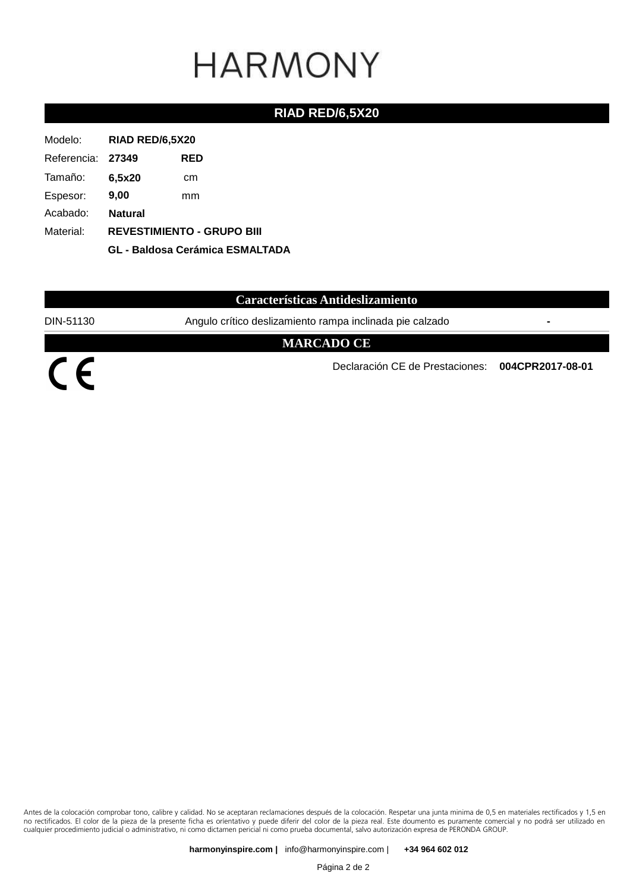#### **RIAD RED/6,5X20**

| Modelo:           | <b>RIAD RED/6,5X20</b>                                                      |     |
|-------------------|-----------------------------------------------------------------------------|-----|
| Referencia: 27349 |                                                                             | RED |
| Tamaño:           | 6,5x20                                                                      | cm  |
| Espesor:          | 9,00                                                                        | mm  |
| Acabado:          | <b>Natural</b>                                                              |     |
| Material:         | <b>REVESTIMIENTO - GRUPO BIII</b><br><b>GL - Baldosa Cerámica ESMALTADA</b> |     |
|                   |                                                                             |     |

#### **Características Antideslizamiento**

DIN-51130 Angulo crítico deslizamiento rampa inclinada pie calzado **-**

#### **MARCADO CE**

 $\overline{C}$ 

Declaración CE de Prestaciones: **004CPR2017-08-01**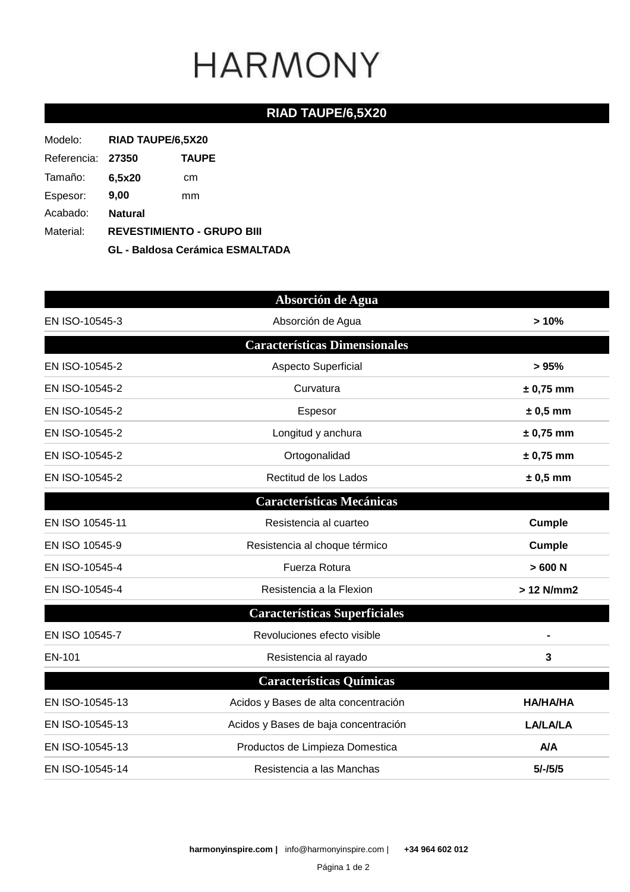### **RIAD TAUPE/6,5X20**

| Modelo:           | RIAD TAUPE/6,5X20                      |              |  |
|-------------------|----------------------------------------|--------------|--|
| Referencia: 27350 |                                        | <b>TAUPE</b> |  |
| Tamaño:           | 6,5x20                                 | cm           |  |
| Espesor:          | 9,00                                   | mm           |  |
| Acabado:          | <b>Natural</b>                         |              |  |
| Material:         | <b>REVESTIMIENTO - GRUPO BIII</b>      |              |  |
|                   | <b>GL - Baldosa Cerámica ESMALTADA</b> |              |  |

|                 | Absorción de Agua                    |                 |
|-----------------|--------------------------------------|-----------------|
| EN ISO-10545-3  | Absorción de Agua                    | >10%            |
|                 | <b>Características Dimensionales</b> |                 |
| EN ISO-10545-2  | Aspecto Superficial                  | > 95%           |
| EN ISO-10545-2  | Curvatura                            | $± 0,75$ mm     |
| EN ISO-10545-2  | Espesor                              | $± 0,5$ mm      |
| EN ISO-10545-2  | Longitud y anchura                   | $± 0,75$ mm     |
| EN ISO-10545-2  | Ortogonalidad                        | $± 0,75$ mm     |
| EN ISO-10545-2  | Rectitud de los Lados                | $± 0,5$ mm      |
|                 | <b>Características Mecánicas</b>     |                 |
| EN ISO 10545-11 | Resistencia al cuarteo               | <b>Cumple</b>   |
| EN ISO 10545-9  | Resistencia al choque térmico        | <b>Cumple</b>   |
| EN ISO-10545-4  | Fuerza Rotura                        | >600 N          |
| EN ISO-10545-4  | Resistencia a la Flexion             | > 12 N/mm2      |
|                 | <b>Características Superficiales</b> |                 |
| EN ISO 10545-7  | Revoluciones efecto visible          |                 |
| EN-101          | Resistencia al rayado                | 3               |
|                 | <b>Características Químicas</b>      |                 |
| EN ISO-10545-13 | Acidos y Bases de alta concentración | <b>HA/HA/HA</b> |
| EN ISO-10545-13 | Acidos y Bases de baja concentración | <b>LA/LA/LA</b> |
| EN ISO-10545-13 | Productos de Limpieza Domestica      | A/A             |
| EN ISO-10545-14 | Resistencia a las Manchas            | $5/-/5/5$       |